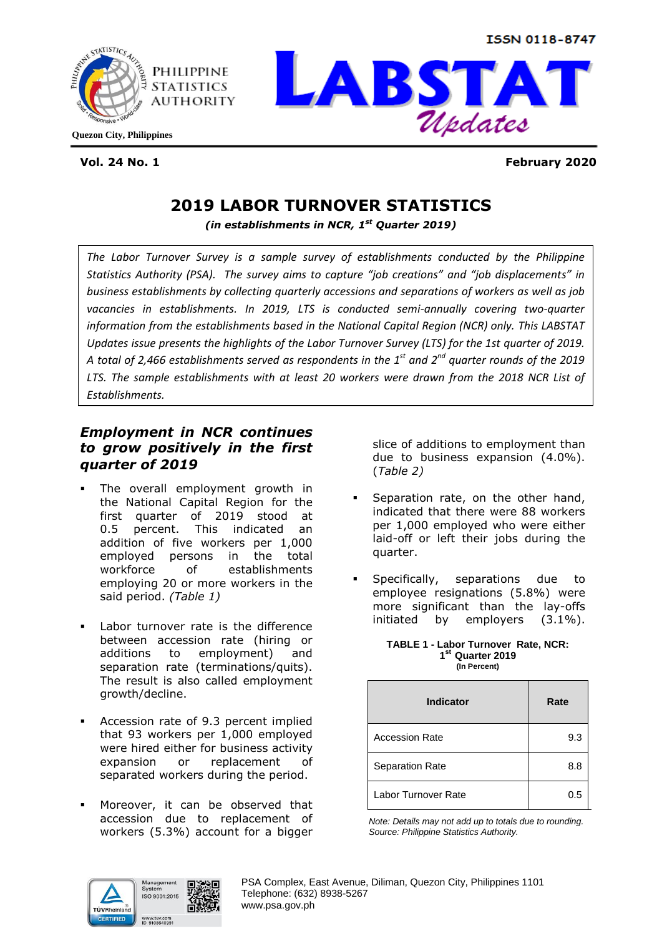**ISSN 0118-8747** 





**Vol. 24 No. 1 February 2020**

# **2019 LABOR TURNOVER STATISTICS**

*(in establishments in NCR, 1st Quarter 2019)*

*The Labor Turnover Survey is a sample survey of establishments conducted by the Philippine Statistics Authority (PSA). The survey aims to capture "job creations" and "job displacements" in business establishments by collecting quarterly accessions and separations of workers as well as job vacancies in establishments. In 2019, LTS is conducted semi-annually covering two-quarter information from the establishments based in the National Capital Region (NCR) only. This LABSTAT Updates issue presents the highlights of the Labor Turnover Survey (LTS) for the 1st quarter of 2019. A total of 2,466 establishments served as respondents in the 1st and 2nd quarter rounds of the 2019 LTS. The sample establishments with at least 20 workers were drawn from the 2018 NCR List of Establishments.*

# *Employment in NCR continues to grow positively in the first quarter of 2019*

- The overall employment growth in the National Capital Region for the first quarter of 2019 stood at 0.5 percent. This indicated an addition of five workers per 1,000 employed persons in the total workforce of establishments employing 20 or more workers in the said period. *(Table 1)*
- Labor turnover rate is the difference between accession rate (hiring or additions to employment) and separation rate (terminations/quits). The result is also called employment growth/decline.
- Accession rate of 9.3 percent implied that 93 workers per 1,000 employed were hired either for business activity expansion or replacement of separated workers during the period.
- Moreover, it can be observed that accession due to replacement of workers (5.3%) account for a bigger

slice of additions to employment than due to business expansion (4.0%). (*Table 2)*

- Separation rate, on the other hand, indicated that there were 88 workers per 1,000 employed who were either laid-off or left their jobs during the quarter.
- Specifically, separations due to employee resignations (5.8%) were more significant than the lay-offs initiated by employers (3.1%).

#### **TABLE 1 - Labor Turnover Rate, NCR: 1 st Quarter 2019 (In Percent)**

| <b>Indicator</b>       | Rate |
|------------------------|------|
| <b>Accession Rate</b>  | 9.3  |
| <b>Separation Rate</b> | 8.8  |
| Labor Turnover Rate    | 0.5  |

*Note: Details may not add up to totals due to rounding. Source: Philippine Statistics Authority.*

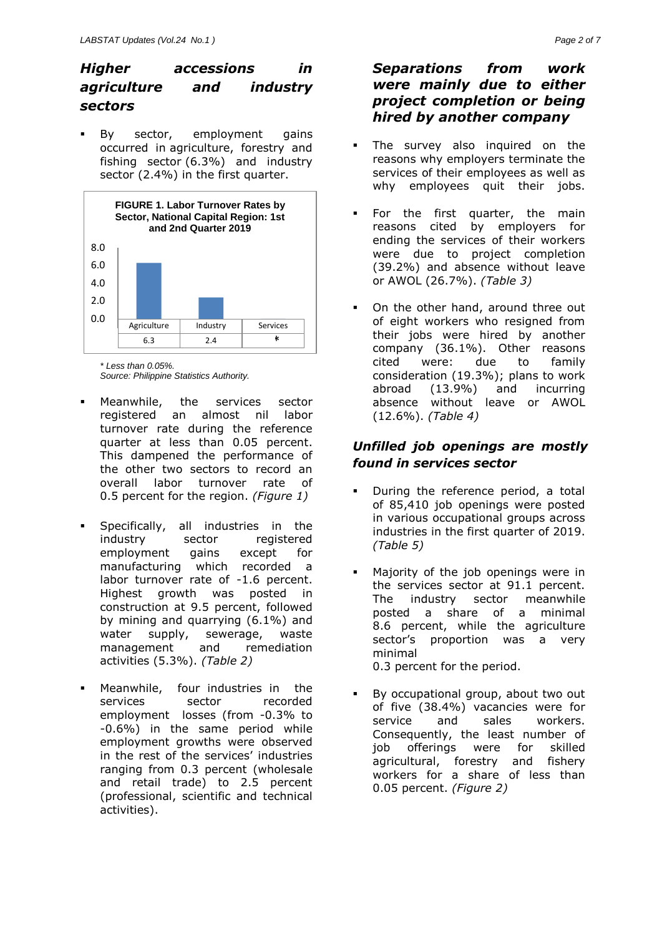# *Higher accessions in agriculture and industry sectors*

 By sector, employment gains occurred in agriculture, forestry and fishing sector (6.3%) and industry sector (2.4%) in the first quarter.



*\* Less than 0.05%.*

*Source: Philippine Statistics Authority.*

- Meanwhile, the services sector registered an almost nil labor turnover rate during the reference quarter at less than 0.05 percent. This dampened the performance of the other two sectors to record an overall labor turnover rate of 0.5 percent for the region. *(Figure 1)*
- Specifically, all industries in the industry sector registered employment gains except for manufacturing which recorded a labor turnover rate of -1.6 percent. Highest growth was posted in construction at 9.5 percent, followed by mining and quarrying (6.1%) and water supply, sewerage, waste management and remediation activities (5.3%). *(Table 2)*
- Meanwhile, four industries in the services sector recorded employment losses (from -0.3% to -0.6%) in the same period while employment growths were observed in the rest of the services' industries ranging from 0.3 percent (wholesale and retail trade) to 2.5 percent (professional, scientific and technical activities).

# *Separations from work were mainly due to either project completion or being hired by another company*

- The survey also inquired on the reasons why employers terminate the services of their employees as well as why employees quit their jobs.
- For the first quarter, the main reasons cited by employers for ending the services of their workers were due to project completion (39.2%) and absence without leave or AWOL (26.7%). *(Table 3)*
- On the other hand, around three out of eight workers who resigned from their jobs were hired by another company (36.1%). Other reasons cited were: due to family consideration (19.3%); plans to work abroad (13.9%) and incurring absence without leave or AWOL (12.6%). *(Table 4)*

# *Unfilled job openings are mostly found in services sector*

- During the reference period, a total of 85,410 job openings were posted in various occupational groups across industries in the first quarter of 2019. *(Table 5)*
- Majority of the job openings were in the services sector at 91.1 percent. The industry sector meanwhile posted a share of a minimal 8.6 percent, while the agriculture sector's proportion was a very minimal

0.3 percent for the period.

By occupational group, about two out of five (38.4%) vacancies were for service and sales workers. Consequently, the least number of job offerings were for skilled agricultural, forestry and fishery workers for a share of less than 0.05 percent. *(Figure 2)*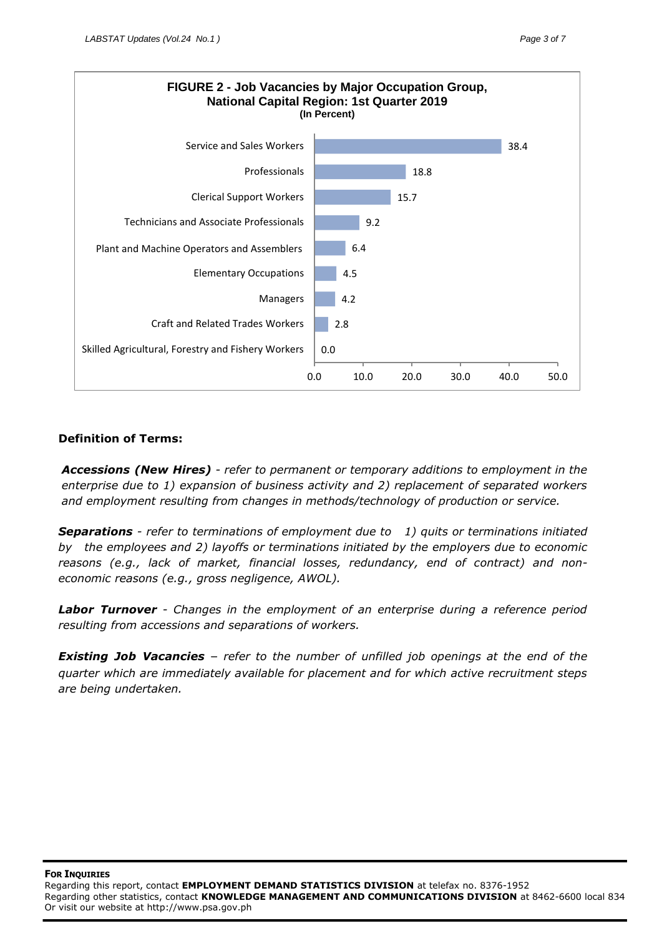

#### **Definition of Terms:**

*Accessions (New Hires) - refer to permanent or temporary additions to employment in the enterprise due to 1) expansion of business activity and 2) replacement of separated workers and employment resulting from changes in methods/technology of production or service.*

*Separations - refer to terminations of employment due to 1) quits or terminations initiated by the employees and 2) layoffs or terminations initiated by the employers due to economic reasons (e.g., lack of market, financial losses, redundancy, end of contract) and noneconomic reasons (e.g., gross negligence, AWOL).*

*Labor Turnover - Changes in the employment of an enterprise during a reference period resulting from accessions and separations of workers.*

*Existing Job Vacancies* – *refer to the number of unfilled job openings at the end of the quarter which are immediately available for placement and for which active recruitment steps are being undertaken.*

**FOR INQUIRIES** 

Regarding this report, contact **EMPLOYMENT DEMAND STATISTICS DIVISION** at telefax no. 8376-1952 Regarding other statistics, contact **KNOWLEDGE MANAGEMENT AND COMMUNICATIONS DIVISION** at 8462-6600 local 834 Or visit our website at http://www.psa.gov.ph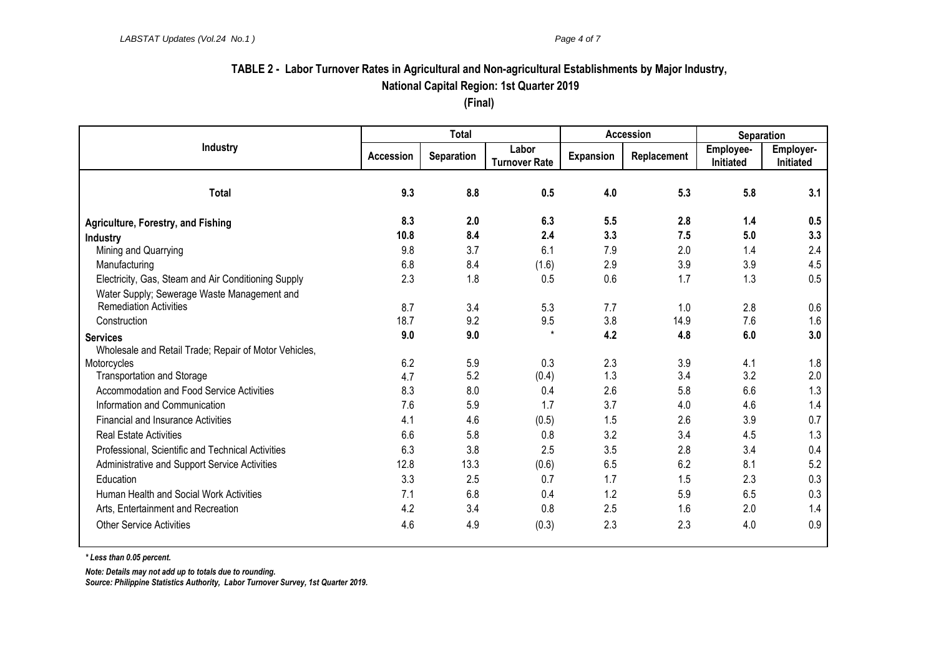# **TABLE 2 - Labor Turnover Rates in Agricultural and Non-agricultural Establishments by Major Industry, National Capital Region: 1st Quarter 2019**

**(Final)**

|                                                       | <b>Total</b>     |            |                               | Accession        |             | Separation             |                        |
|-------------------------------------------------------|------------------|------------|-------------------------------|------------------|-------------|------------------------|------------------------|
| <b>Industry</b>                                       | <b>Accession</b> | Separation | Labor<br><b>Turnover Rate</b> | <b>Expansion</b> | Replacement | Employee-<br>Initiated | Employer-<br>Initiated |
| <b>Total</b>                                          | 9.3              | 8.8        | 0.5                           | 4.0              | 5.3         | 5.8                    | 3.1                    |
| <b>Agriculture, Forestry, and Fishing</b>             | 8.3              | 2.0        | 6.3                           | 5.5              | 2.8         | 1.4                    | 0.5                    |
| <b>Industry</b>                                       | 10.8             | 8.4        | 2.4                           | 3.3              | 7.5         | 5.0                    | 3.3                    |
| Mining and Quarrying                                  | 9.8              | 3.7        | 6.1                           | 7.9              | 2.0         | 1.4                    | 2.4                    |
| Manufacturing                                         | 6.8              | 8.4        | (1.6)                         | 2.9              | 3.9         | 3.9                    | 4.5                    |
| Electricity, Gas, Steam and Air Conditioning Supply   | 2.3              | 1.8        | 0.5                           | 0.6              | 1.7         | 1.3                    | 0.5                    |
| Water Supply; Sewerage Waste Management and           |                  |            |                               |                  |             |                        |                        |
| <b>Remediation Activities</b>                         | 8.7              | 3.4        | 5.3                           | 7.7              | 1.0         | 2.8                    | 0.6                    |
| Construction                                          | 18.7             | 9.2        | 9.5                           | 3.8              | 14.9        | 7.6                    | 1.6                    |
| <b>Services</b>                                       | 9.0              | 9.0        | $\star$                       | 4.2              | 4.8         | 6.0                    | 3.0                    |
| Wholesale and Retail Trade; Repair of Motor Vehicles, |                  |            |                               |                  |             |                        |                        |
| Motorcycles                                           | 6.2              | 5.9        | 0.3                           | 2.3              | 3.9         | 4.1                    | 1.8                    |
| <b>Transportation and Storage</b>                     | 4.7              | 5.2        | (0.4)                         | 1.3              | 3.4         | 3.2                    | 2.0                    |
| Accommodation and Food Service Activities             | 8.3              | 8.0        | 0.4                           | 2.6              | 5.8         | 6.6                    | 1.3                    |
| Information and Communication                         | 7.6              | 5.9        | 1.7                           | 3.7              | 4.0         | 4.6                    | 1.4                    |
| <b>Financial and Insurance Activities</b>             | 4.1              | 4.6        | (0.5)                         | 1.5              | 2.6         | 3.9                    | 0.7                    |
| <b>Real Estate Activities</b>                         | 6.6              | 5.8        | 0.8                           | 3.2              | 3.4         | 4.5                    | 1.3                    |
| Professional, Scientific and Technical Activities     | 6.3              | 3.8        | 2.5                           | 3.5              | 2.8         | 3.4                    | 0.4                    |
| Administrative and Support Service Activities         | 12.8             | 13.3       | (0.6)                         | 6.5              | 6.2         | 8.1                    | 5.2                    |
| Education                                             | 3.3              | 2.5        | 0.7                           | 1.7              | 1.5         | 2.3                    | 0.3                    |
| Human Health and Social Work Activities               | 7.1              | 6.8        | 0.4                           | 1.2              | 5.9         | 6.5                    | 0.3                    |
| Arts, Entertainment and Recreation                    | 4.2              | 3.4        | 0.8                           | 2.5              | 1.6         | 2.0                    | 1.4                    |
| <b>Other Service Activities</b>                       | 4.6              | 4.9        | (0.3)                         | 2.3              | 2.3         | 4.0                    | 0.9                    |

*\* Less than 0.05 percent.*

*Note: Details may not add up to totals due to rounding.*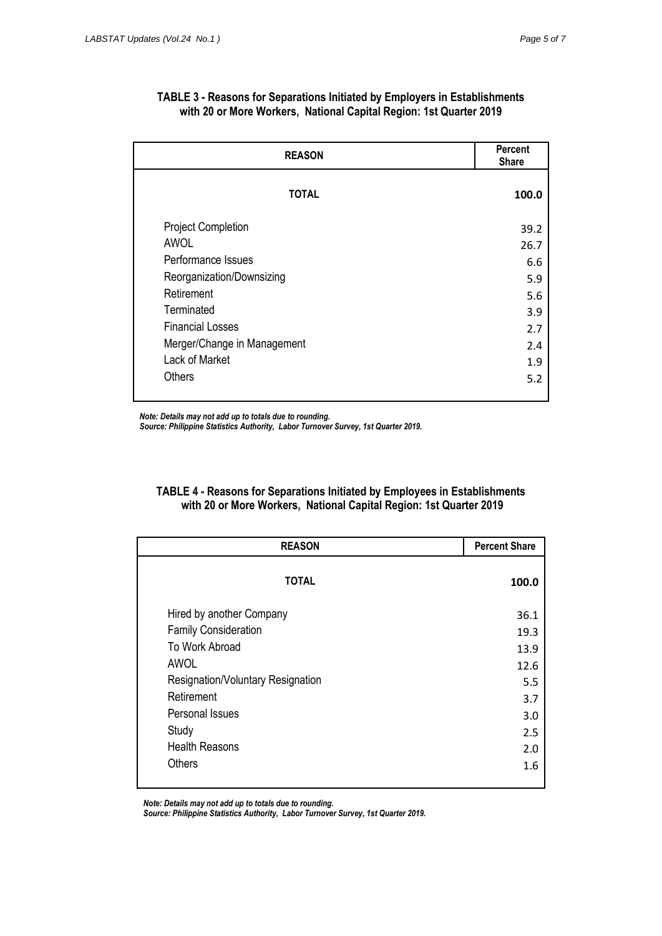| <b>REASON</b>               | <b>Percent</b><br><b>Share</b> |
|-----------------------------|--------------------------------|
| <b>TOTAL</b>                | 100.0                          |
| <b>Project Completion</b>   | 39.2                           |
| <b>AWOL</b>                 | 26.7                           |
| Performance Issues          | 6.6                            |
| Reorganization/Downsizing   | 5.9                            |
| Retirement                  | 5.6                            |
| Terminated                  | 3.9                            |
| <b>Financial Losses</b>     | 2.7                            |
| Merger/Change in Management | 2.4                            |
| Lack of Market              | 1.9                            |
| <b>Others</b>               | 5.2                            |

#### **TABLE 3 - Reasons for Separations Initiated by Employers in Establishments with 20 or More Workers, National Capital Region: 1st Quarter 2019**

*Note: Details may not add up to totals due to rounding.*

*Source: Philippine Statistics Authority, Labor Turnover Survey, 1st Quarter 2019.*

### **TABLE 4 - Reasons for Separations Initiated by Employees in Establishments with 20 or More Workers, National Capital Region: 1st Quarter 2019**

| <b>REASON</b>                     | <b>Percent Share</b> |
|-----------------------------------|----------------------|
| <b>TOTAL</b>                      | 100.0                |
| Hired by another Company          | 36.1                 |
| <b>Family Consideration</b>       | 19.3                 |
| To Work Abroad                    | 13.9                 |
| <b>AWOL</b>                       | 12.6                 |
| Resignation/Voluntary Resignation | 5.5                  |
| Retirement                        | 3.7                  |
| Personal Issues                   | 3.0                  |
| Study                             | 2.5                  |
| <b>Health Reasons</b>             | 2.0                  |
| <b>Others</b>                     | 1.6                  |

*Note: Details may not add up to totals due to rounding.*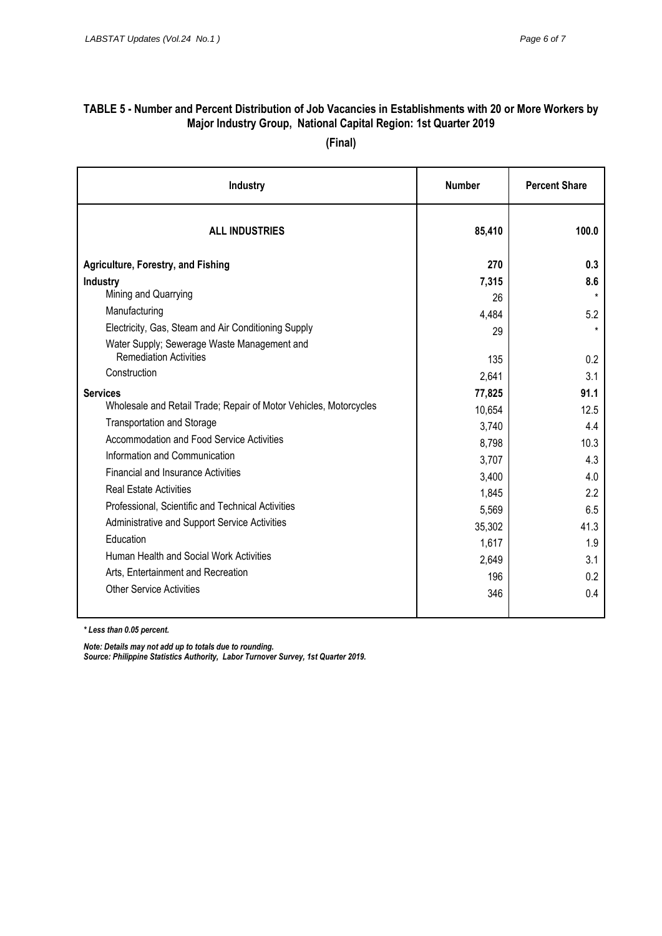# **TABLE 5 - Number and Percent Distribution of Job Vacancies in Establishments with 20 or More Workers by Major Industry Group, National Capital Region: 1st Quarter 2019**

**(Final)**

| Industry                                                          | <b>Number</b> | <b>Percent Share</b> |  |
|-------------------------------------------------------------------|---------------|----------------------|--|
| <b>ALL INDUSTRIES</b>                                             | 85,410        | 100.0                |  |
| Agriculture, Forestry, and Fishing                                | 270           | 0.3                  |  |
| Industry                                                          | 7,315         | 8.6                  |  |
| Mining and Quarrying                                              | 26            |                      |  |
| Manufacturing                                                     | 4,484         | 5.2                  |  |
| Electricity, Gas, Steam and Air Conditioning Supply               | 29            |                      |  |
| Water Supply; Sewerage Waste Management and                       |               |                      |  |
| <b>Remediation Activities</b>                                     | 135           | 0.2                  |  |
| Construction                                                      | 2,641         | 3.1                  |  |
| <b>Services</b>                                                   | 77,825        | 91.1                 |  |
| Wholesale and Retail Trade; Repair of Motor Vehicles, Motorcycles | 10,654        | 12.5                 |  |
| <b>Transportation and Storage</b>                                 | 3,740         | 4.4                  |  |
| Accommodation and Food Service Activities                         | 8,798         | 10.3                 |  |
| Information and Communication                                     | 3,707         | 4.3                  |  |
| <b>Financial and Insurance Activities</b>                         | 3,400         | 4.0                  |  |
| <b>Real Estate Activities</b>                                     | 1,845         | 2.2                  |  |
| Professional, Scientific and Technical Activities                 | 5,569         | 6.5                  |  |
| Administrative and Support Service Activities                     | 35,302        | 41.3                 |  |
| Education                                                         | 1,617         | 1.9                  |  |
| Human Health and Social Work Activities                           | 2,649         | 3.1                  |  |
| Arts, Entertainment and Recreation                                | 196           | 0.2                  |  |
| <b>Other Service Activities</b>                                   | 346           | 0.4                  |  |
|                                                                   |               |                      |  |

*\* Less than 0.05 percent.*

*Note: Details may not add up to totals due to rounding.*